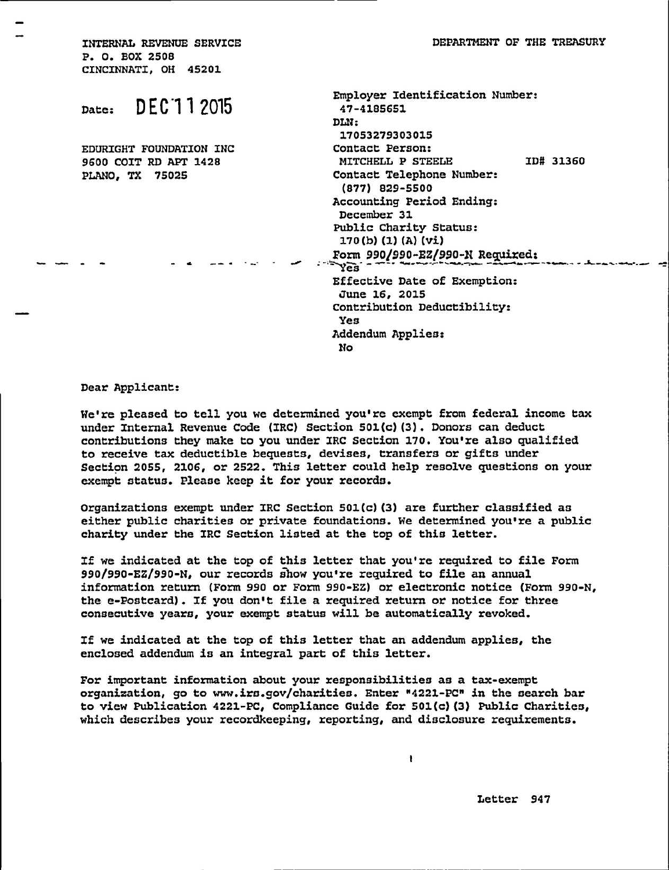**INTERNAL REVENUE SERVICE DEPARTMENT OF THE TREASURY P. 0. BOX 2508 CINCINNATI, OH 45201** 

|                              | Employer Identification Number: |
|------------------------------|---------------------------------|
| DEC 1 1 2015<br>Date:        | 47-4185651                      |
|                              | DLN:                            |
|                              | 17053279303015                  |
| EDURIGHT FOUNDATION INC      | Contact Person:                 |
| <b>9600 COIT RD APT 1428</b> | ID# 31360<br>MITCHELL P STEELE  |
| <b>PLANO, TX 75025</b>       | Contact Telephone Number:       |
|                              | (877) 829-5500                  |
|                              | Accounting Period Ending:       |
|                              | December 31                     |
|                              | Public Charity Status:          |
|                              | 170(b) (1) (A) (vi)             |
|                              | Form 990/990-EZ/990-N Required: |
|                              | YEB                             |
|                              | Effective Date of Exemption:    |
|                              | June 16, 2015                   |
|                              | Contribution Deductibility:     |
|                              | Yes                             |
|                              | Addendum Applies:               |
|                              | No.                             |
|                              |                                 |

**Dear Applicant:** 

**We're pleased to tell you we determined you're exempt from federal income tax under Internal Revenue Code (IRC) Section 501(c)(3). Donors can deduct contributions they make to you under IRC Section 170. You're also qualified to receive tax deductible bequests, devises, transfers or gifts under Section 2055, 2106, or 2522. This letter could help resolve questions on your exempt status. Please keep it for your records.** 

**Organizations exempt under IRC Section 501(c)(3) are further classified as either public charities or private foundations. We determined you're a public charity under the IRC Section listed at the top of this letter.** 

**If we indicated at the top of this letter that you're required to file Form 990/990-EZ/990-N, our records show you're required to file an annual information return (Form 990 or Form 990-EZ) or electronic notice (Form 990-N, the e-Postcard). If you don't file a required return or notice for three consecutive years, your exempt status will be automatically revoked.** 

**If we indicated at the top of this letter that an addendum applies, the enclosed addendum is an integral part of this letter.** 

**For important information about your responsibilities as a tax-exempt organization, go to www.irs.gov/charities . Enter "4221-PC" in the search bar to view Publication 4221-PC, Compliance Guide for 501(c)(3) Public Charities, which describes your recordkeeping, reporting, and disclosure requirements.**